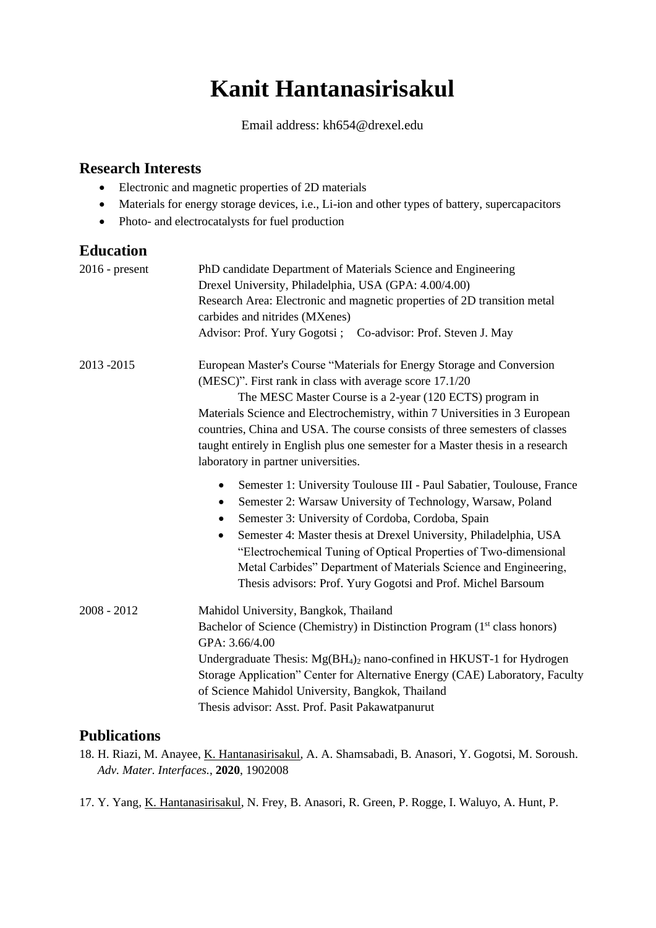# **Kanit Hantanasirisakul**

Email address: kh654@drexel.edu

### **Research Interests**

- Electronic and magnetic properties of 2D materials
- Materials for energy storage devices, i.e., Li-ion and other types of battery, supercapacitors
- Photo- and electrocatalysts for fuel production

### **Education**

| $2016$ - present | PhD candidate Department of Materials Science and Engineering                                                                                     |
|------------------|---------------------------------------------------------------------------------------------------------------------------------------------------|
|                  | Drexel University, Philadelphia, USA (GPA: 4.00/4.00)                                                                                             |
|                  | Research Area: Electronic and magnetic properties of 2D transition metal                                                                          |
|                  | carbides and nitrides (MXenes)                                                                                                                    |
|                  | Advisor: Prof. Yury Gogotsi; Co-advisor: Prof. Steven J. May                                                                                      |
| 2013-2015        | European Master's Course "Materials for Energy Storage and Conversion                                                                             |
|                  | (MESC)". First rank in class with average score 17.1/20                                                                                           |
|                  | The MESC Master Course is a 2-year (120 ECTS) program in                                                                                          |
|                  | Materials Science and Electrochemistry, within 7 Universities in 3 European                                                                       |
|                  | countries, China and USA. The course consists of three semesters of classes                                                                       |
|                  | taught entirely in English plus one semester for a Master thesis in a research                                                                    |
|                  | laboratory in partner universities.                                                                                                               |
|                  | Semester 1: University Toulouse III - Paul Sabatier, Toulouse, France<br>$\bullet$<br>Semester 2: Warsaw University of Technology, Warsaw, Poland |
|                  | $\bullet$<br>Semester 3: University of Cordoba, Cordoba, Spain                                                                                    |
|                  | Semester 4: Master thesis at Drexel University, Philadelphia, USA<br>$\bullet$                                                                    |
|                  | "Electrochemical Tuning of Optical Properties of Two-dimensional                                                                                  |
|                  | Metal Carbides" Department of Materials Science and Engineering,                                                                                  |
|                  | Thesis advisors: Prof. Yury Gogotsi and Prof. Michel Barsoum                                                                                      |
|                  |                                                                                                                                                   |
| $2008 - 2012$    | Mahidol University, Bangkok, Thailand                                                                                                             |
|                  | Bachelor of Science (Chemistry) in Distinction Program (1 <sup>st</sup> class honors)                                                             |
|                  | GPA: 3.66/4.00                                                                                                                                    |
|                  | Undergraduate Thesis: $Mg(BH_4)$ nano-confined in HKUST-1 for Hydrogen                                                                            |
|                  | Storage Application" Center for Alternative Energy (CAE) Laboratory, Faculty                                                                      |
|                  | of Science Mahidol University, Bangkok, Thailand                                                                                                  |
|                  | Thesis advisor: Asst. Prof. Pasit Pakawatpanurut                                                                                                  |
|                  |                                                                                                                                                   |

#### **Publications**

- 18. H. Riazi, M. Anayee, K. Hantanasirisakul, A. A. Shamsabadi, B. Anasori, Y. Gogotsi, M. Soroush. *Adv. Mater. Interfaces.*, **2020**, 1902008
- 17. Y. Yang, K. Hantanasirisakul, N. Frey, B. Anasori, R. Green, P. Rogge, I. Waluyo, A. Hunt, P.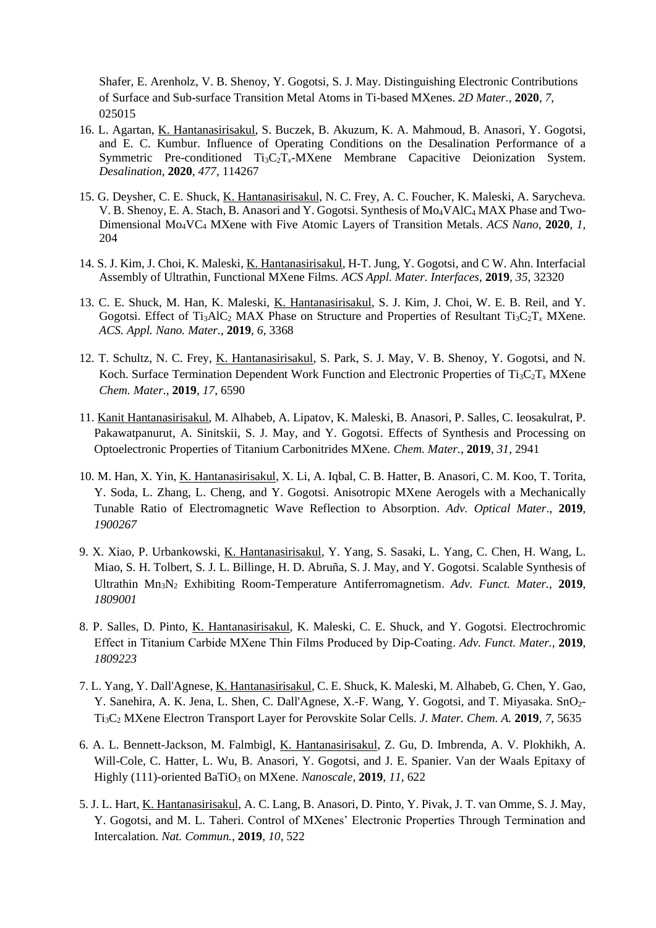Shafer, E. Arenholz, V. B. Shenoy, Y. Gogotsi, S. J. May. Distinguishing Electronic Contributions of Surface and Sub-surface Transition Metal Atoms in Ti-based MXenes. *2D Mater.*, **2020**, *7*, 025015

- 16. L. Agartan, K. Hantanasirisakul, S. Buczek, B. Akuzum, K. A. Mahmoud, B. Anasori, Y. Gogotsi, and E. C. Kumbur. Influence of Operating Conditions on the Desalination Performance of a Symmetric Pre-conditioned Ti3C2T*x*-MXene Membrane Capacitive Deionization System. *Desalination*, **2020**, *477*, 114267
- 15. G. Deysher, C. E. Shuck, K. Hantanasirisakul, N. C. Frey, A. C. Foucher, K. Maleski, A. Sarycheva. V. B. Shenoy, E. A. Stach, B. Anasori and Y. Gogotsi. Synthesis of Mo<sub>4</sub>VAlC<sub>4</sub> MAX Phase and Two-Dimensional Mo4VC<sup>4</sup> MXene with Five Atomic Layers of Transition Metals. *ACS Nano*, **2020**, *1*, 204
- 14. S. J. Kim, J. Choi, K. Maleski, K. Hantanasirisakul, H-T. Jung, Y. Gogotsi, and C W. Ahn. Interfacial Assembly of Ultrathin, Functional MXene Films. *ACS Appl. Mater. Interfaces*, **2019**, *35*, 32320
- 13. C. E. Shuck, M. Han, K. Maleski, K. Hantanasirisakul, S. J. Kim, J. Choi, W. E. B. Reil, and Y. Gogotsi. Effect of Ti<sub>3</sub>AlC<sub>2</sub> MAX Phase on Structure and Properties of Resultant Ti<sub>3</sub>C<sub>2</sub>T<sub>x</sub> MXene. *ACS. Appl. Nano. Mater.*, **2019**, *6*, 3368
- 12. T. Schultz, N. C. Frey, K. Hantanasirisakul, S. Park, S. J. May, V. B. Shenoy, Y. Gogotsi, and N. Koch. Surface Termination Dependent Work Function and Electronic Properties of Ti<sub>3</sub>C<sub>2</sub>T<sub>*x*</sub> MXene *Chem. Mater.*, **2019**, *17*, 6590
- 11. Kanit Hantanasirisakul, M. Alhabeb, A. Lipatov, K. Maleski, B. Anasori, P. Salles, C. Ieosakulrat, P. Pakawatpanurut, A. Sinitskii, S. J. May, and Y. Gogotsi. Effects of Synthesis and Processing on Optoelectronic Properties of Titanium Carbonitrides MXene. *Chem. Mater.*, **2019**, *31*, 2941
- 10. M. Han, X. Yin, K. Hantanasirisakul, X. Li, A. Iqbal, C. B. Hatter, B. Anasori, C. M. Koo, T. Torita, Y. Soda, L. Zhang, L. Cheng, and Y. Gogotsi. Anisotropic MXene Aerogels with a Mechanically Tunable Ratio of Electromagnetic Wave Reflection to Absorption. *Adv. Optical Mater*., **2019**, *1900267*
- 9. X. Xiao, P. Urbankowski, K. Hantanasirisakul, Y. Yang, S. Sasaki, L. Yang, C. Chen, H. Wang, L. Miao, S. H. Tolbert, S. J. L. Billinge, H. D. Abruña, S. J. May, and Y. Gogotsi. Scalable Synthesis of Ultrathin Mn3N<sup>2</sup> Exhibiting Room-Temperature Antiferromagnetism. *Adv. Funct. Mater.,* **2019**, *1809001*
- 8. P. Salles, D. Pinto, K. Hantanasirisakul, K. Maleski, C. E. Shuck, and Y. Gogotsi. Electrochromic Effect in Titanium Carbide MXene Thin Films Produced by Dip‐Coating. *Adv. Funct. Mater.,* **2019**, *1809223*
- 7. L. Yang, Y. Dall'Agnese, K. Hantanasirisakul, C. E. Shuck, K. Maleski, M. Alhabeb, G. Chen, Y. Gao, Y. Sanehira, A. K. Jena, L. Shen, C. Dall'Agnese, X.-F. Wang, Y. Gogotsi, and T. Miyasaka. SnO2- Ti3C<sup>2</sup> MXene Electron Transport Layer for Perovskite Solar Cells. *J. Mater. Chem. A.* **2019**, *7*, 5635
- 6. A. L. Bennett-Jackson, M. Falmbigl, K. Hantanasirisakul, Z. Gu, D. Imbrenda, A. V. Plokhikh, A. Will-Cole, C. Hatter, L. Wu, B. Anasori, Y. Gogotsi, and J. E. Spanier. Van der Waals Epitaxy of Highly (111)-oriented BaTiO<sub>3</sub> on MXene. *Nanoscale*, **2019**, *11*, 622
- 5. J. L. Hart, K. Hantanasirisakul, A. C. Lang, B. Anasori, D. Pinto, Y. Pivak, J. T. van Omme, S. J. May, Y. Gogotsi, and M. L. Taheri. Control of MXenes' Electronic Properties Through Termination and Intercalation. *Nat. Commun.,* **2019**, *10*, 522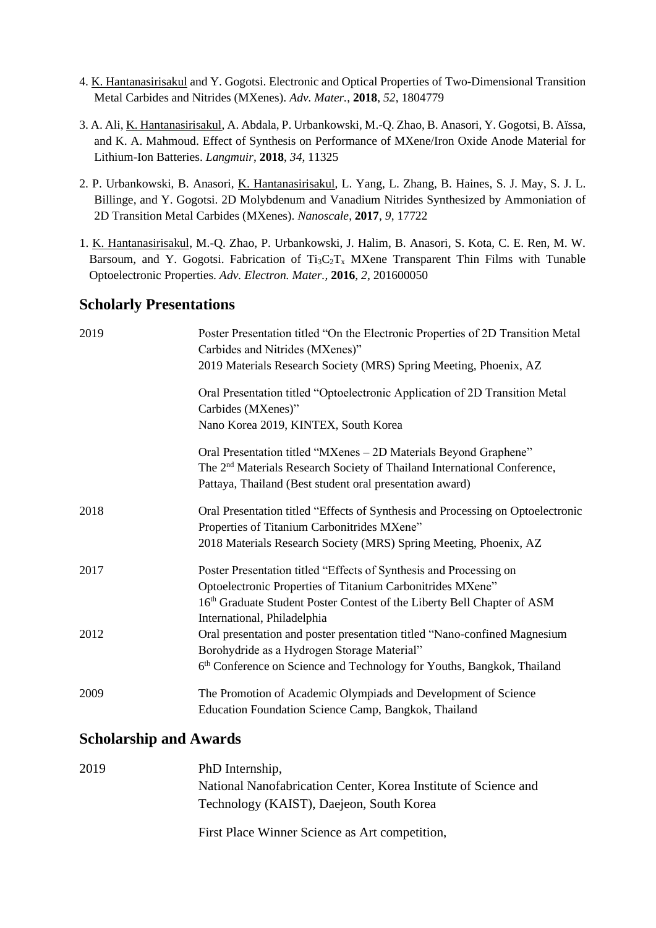- 4. K. Hantanasirisakul and Y. Gogotsi. Electronic and Optical Properties of Two-Dimensional Transition Metal Carbides and Nitrides (MXenes). *Adv. Mater.*, **2018**, *52*, 1804779
- 3. A. Ali, K. Hantanasirisakul, A. Abdala, P. Urbankowski, M.-Q. Zhao, B. Anasori, Y. Gogotsi, B. Aïssa, and K. A. Mahmoud. Effect of Synthesis on Performance of MXene/Iron Oxide Anode Material for Lithium-Ion Batteries. *Langmuir*, **2018**, *34*, 11325
- 2. P. Urbankowski, B. Anasori, K. Hantanasirisakul, L. Yang, L. Zhang, B. Haines, S. J. May, S. J. L. Billinge, and Y. Gogotsi. 2D Molybdenum and Vanadium Nitrides Synthesized by Ammoniation of 2D Transition Metal Carbides (MXenes). *Nanoscale*, **2017**, *9*, 17722
- 1. K. Hantanasirisakul, M.-Q. Zhao, P. Urbankowski, J. Halim, B. Anasori, S. Kota, C. E. Ren, M. W. Barsoum, and Y. Gogotsi. Fabrication of  $Ti_3C_2T_x$  MXene Transparent Thin Films with Tunable Optoelectronic Properties. *Adv. Electron. Mater.,* **2016**, *2*, 201600050

#### **Scholarly Presentations**

| 2019 | Poster Presentation titled "On the Electronic Properties of 2D Transition Metal<br>Carbides and Nitrides (MXenes)"                                                                                                   |
|------|----------------------------------------------------------------------------------------------------------------------------------------------------------------------------------------------------------------------|
|      | 2019 Materials Research Society (MRS) Spring Meeting, Phoenix, AZ                                                                                                                                                    |
|      | Oral Presentation titled "Optoelectronic Application of 2D Transition Metal<br>Carbides (MXenes)"                                                                                                                    |
|      | Nano Korea 2019, KINTEX, South Korea                                                                                                                                                                                 |
|      | Oral Presentation titled "MXenes – 2D Materials Beyond Graphene"<br>The 2 <sup>nd</sup> Materials Research Society of Thailand International Conference,<br>Pattaya, Thailand (Best student oral presentation award) |
| 2018 | Oral Presentation titled "Effects of Synthesis and Processing on Optoelectronic<br>Properties of Titanium Carbonitrides MXene"                                                                                       |
|      | 2018 Materials Research Society (MRS) Spring Meeting, Phoenix, AZ                                                                                                                                                    |
| 2017 | Poster Presentation titled "Effects of Synthesis and Processing on<br>Optoelectronic Properties of Titanium Carbonitrides MXene"                                                                                     |
|      | 16th Graduate Student Poster Contest of the Liberty Bell Chapter of ASM<br>International, Philadelphia                                                                                                               |
| 2012 | Oral presentation and poster presentation titled "Nano-confined Magnesium<br>Borohydride as a Hydrogen Storage Material"                                                                                             |
|      | 6th Conference on Science and Technology for Youths, Bangkok, Thailand                                                                                                                                               |
| 2009 | The Promotion of Academic Olympiads and Development of Science<br>Education Foundation Science Camp, Bangkok, Thailand                                                                                               |

### **Scholarship and Awards**

| 2019 | PhD Internship,                                                 |
|------|-----------------------------------------------------------------|
|      | National Nanofabrication Center, Korea Institute of Science and |
|      | Technology (KAIST), Daejeon, South Korea                        |
|      | First Place Winner Science as Art competition,                  |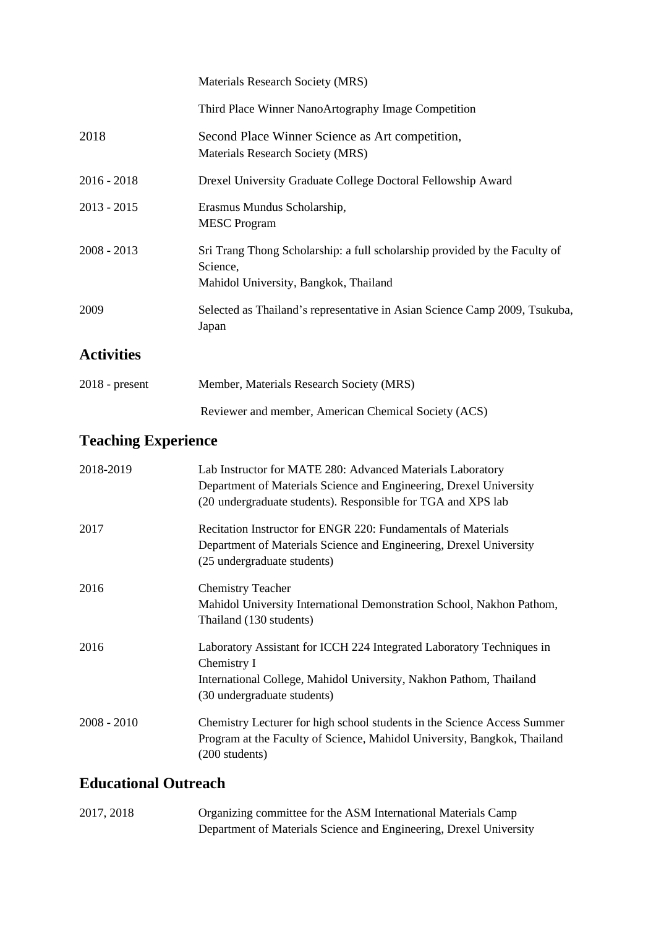|               | Materials Research Society (MRS)                                                                                                |
|---------------|---------------------------------------------------------------------------------------------------------------------------------|
|               | Third Place Winner NanoArtography Image Competition                                                                             |
| 2018          | Second Place Winner Science as Art competition,<br>Materials Research Society (MRS)                                             |
| $2016 - 2018$ | Drexel University Graduate College Doctoral Fellowship Award                                                                    |
| $2013 - 2015$ | Erasmus Mundus Scholarship,<br><b>MESC</b> Program                                                                              |
| $2008 - 2013$ | Sri Trang Thong Scholarship: a full scholarship provided by the Faculty of<br>Science,<br>Mahidol University, Bangkok, Thailand |
| 2009          | Selected as Thailand's representative in Asian Science Camp 2009, Tsukuba,<br>Japan                                             |
|               |                                                                                                                                 |

# **Activities**

| $2018$ - present | Member, Materials Research Society (MRS)             |
|------------------|------------------------------------------------------|
|                  | Reviewer and member, American Chemical Society (ACS) |

# **Teaching Experience**

| 2018-2019     | Lab Instructor for MATE 280: Advanced Materials Laboratory<br>Department of Materials Science and Engineering, Drexel University<br>(20 undergraduate students). Responsible for TGA and XPS lab |
|---------------|--------------------------------------------------------------------------------------------------------------------------------------------------------------------------------------------------|
| 2017          | Recitation Instructor for ENGR 220: Fundamentals of Materials<br>Department of Materials Science and Engineering, Drexel University<br>(25 undergraduate students)                               |
| 2016          | <b>Chemistry Teacher</b><br>Mahidol University International Demonstration School, Nakhon Pathom,<br>Thailand (130 students)                                                                     |
| 2016          | Laboratory Assistant for ICCH 224 Integrated Laboratory Techniques in<br>Chemistry I<br>International College, Mahidol University, Nakhon Pathom, Thailand<br>(30 undergraduate students)        |
| $2008 - 2010$ | Chemistry Lecturer for high school students in the Science Access Summer<br>Program at the Faculty of Science, Mahidol University, Bangkok, Thailand<br>(200 students)                           |

# **Educational Outreach**

| 2017, 2018 | Organizing committee for the ASM International Materials Camp      |
|------------|--------------------------------------------------------------------|
|            | Department of Materials Science and Engineering, Drexel University |